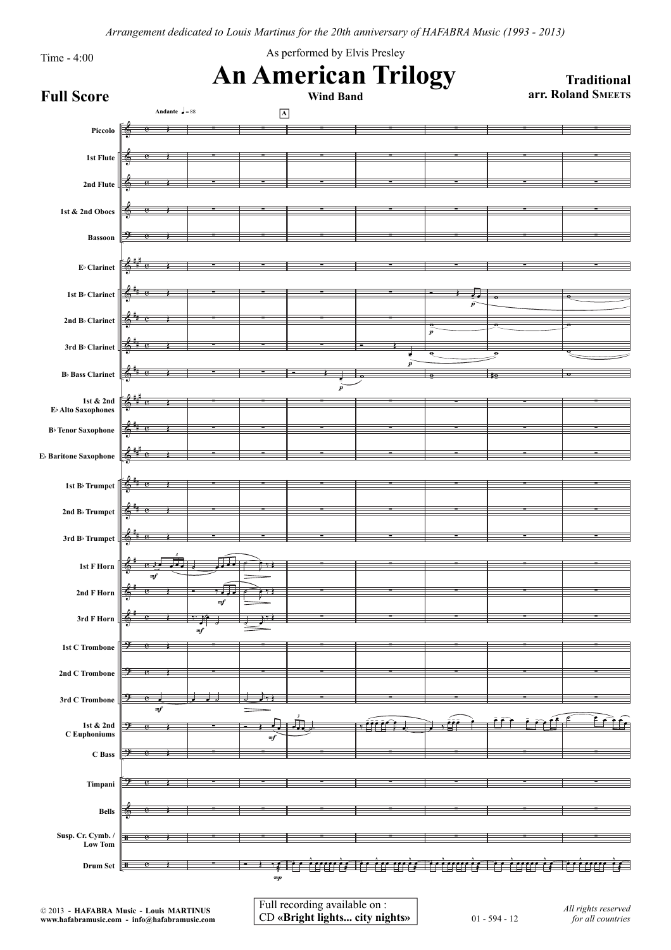*Arrangement dedicated to Louis Martinus for the 20th anniversary of HAFABRA Music (1993 - 2013)*

Time - 4:00

As performed by Elvis Presley

## **An American Trilogy**

**Traditional**

| <b>Full Score</b>                                     |                            |          |                       | <b>Wind Band</b> |                       | arr. Roland SMEETS |
|-------------------------------------------------------|----------------------------|----------|-----------------------|------------------|-----------------------|--------------------|
|                                                       | Andante $\frac{1}{2} = 88$ |          | $\boldsymbol{\rm{A}}$ |                  |                       |                    |
| Piccolo $\parallel$                                   | đ.                         |          |                       |                  |                       |                    |
|                                                       |                            |          |                       |                  |                       |                    |
| $1st$ Flute $\,$                                      |                            |          |                       |                  |                       |                    |
|                                                       |                            |          |                       |                  |                       |                    |
| $2nd$ Flute $\,$                                      |                            |          |                       |                  |                       |                    |
|                                                       |                            |          |                       |                  |                       |                    |
| 1st & 2nd Oboes                                       |                            |          |                       |                  |                       |                    |
| Bassoon                                               |                            |          |                       |                  |                       |                    |
|                                                       |                            |          |                       |                  |                       |                    |
| $\mathbf{E}\flat$ Clarinet                            |                            |          |                       |                  |                       |                    |
|                                                       |                            |          |                       |                  |                       |                    |
| $1$ st B $\flat$ Clarinet                             |                            |          |                       |                  |                       |                    |
|                                                       |                            |          |                       |                  | p                     |                    |
| $2$ nd B $\,\overline{ }$ Clarinet                    |                            |          |                       |                  | $\boldsymbol{\Omega}$ |                    |
| 3rd B <sub>b</sub> Clarinet<br><b>B</b> Bass Clarinet |                            |          |                       |                  | $\boldsymbol{p}$      |                    |
|                                                       |                            |          |                       |                  |                       |                    |
|                                                       |                            |          |                       |                  |                       |                    |
|                                                       |                            |          |                       |                  |                       |                    |
|                                                       |                            |          |                       |                  |                       |                    |
| 1st & 2nd<br>E♭Alto Saxophones                        |                            |          |                       |                  |                       |                    |
|                                                       |                            |          |                       |                  |                       |                    |
| $\mathbf{B}\flat$ Tenor Saxophone                     |                            |          |                       |                  |                       |                    |
| E♭ Baritone Saxophone │                               | <b>6</b>                   |          |                       |                  |                       |                    |
|                                                       |                            |          |                       |                  |                       |                    |
|                                                       |                            |          |                       |                  |                       |                    |
|                                                       |                            |          |                       |                  |                       |                    |
| $2{\mathbf n} {\mathbf d}$ B<br>> Trumpet             |                            |          |                       |                  |                       |                    |
|                                                       |                            |          |                       |                  |                       |                    |
| 3rd B <sup>b</sup> Trumpet                            |                            |          |                       |                  |                       |                    |
|                                                       |                            |          |                       |                  |                       |                    |
| 1st F Horn                                            |                            |          |                       |                  |                       |                    |
|                                                       | m f                        |          |                       |                  |                       |                    |
| 2nd F Horn                                            | ಲ                          | $\it mf$ |                       |                  |                       |                    |
|                                                       |                            | ₩        |                       |                  |                       |                    |
| $3rd \to Horn$                                        |                            | m f      |                       |                  |                       |                    |
| 1st C Trombone                                        |                            |          |                       |                  |                       |                    |
|                                                       |                            |          |                       |                  |                       |                    |
| $2\mathrm{nd}$ C Trombone                             | e                          |          |                       |                  |                       |                    |
|                                                       |                            |          |                       |                  |                       |                    |
| $3\mathrm{rd}$ C Trombone                             | e                          |          | $\rightarrow$ 73      |                  |                       |                    |
|                                                       | $m\!f$                     |          |                       |                  |                       |                    |
| 1st $\&$ 2nd<br><b>C</b> Euphoniums                   | 9.<br>$-e$<br>₹            |          |                       | ٠.               |                       |                    |
|                                                       |                            |          | mf                    |                  |                       |                    |
| C Bass                                                | $\mathbf{e}$               |          |                       |                  |                       |                    |
|                                                       |                            |          |                       |                  |                       |                    |
| Timpani                                               |                            |          |                       |                  |                       |                    |
|                                                       |                            |          |                       |                  |                       |                    |
| <b>Bells</b>                                          |                            |          |                       |                  |                       |                    |
| Susp. Cr. Cymb./                                      | o                          |          |                       |                  |                       |                    |
| Low Tom                                               | ۳                          |          |                       |                  |                       |                    |
|                                                       |                            |          |                       |                  |                       |                    |
|                                                       |                            |          |                       |                  |                       |                    |
| Drum Set                                              | Œ                          |          | $\it mp$              |                  |                       |                    |

CD **«Bright lights... city nights»**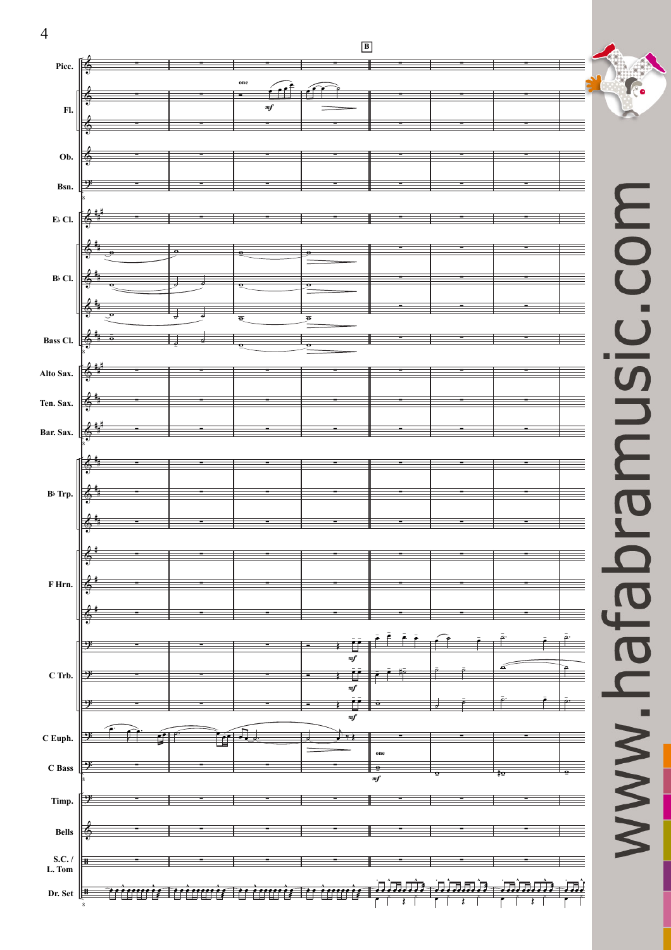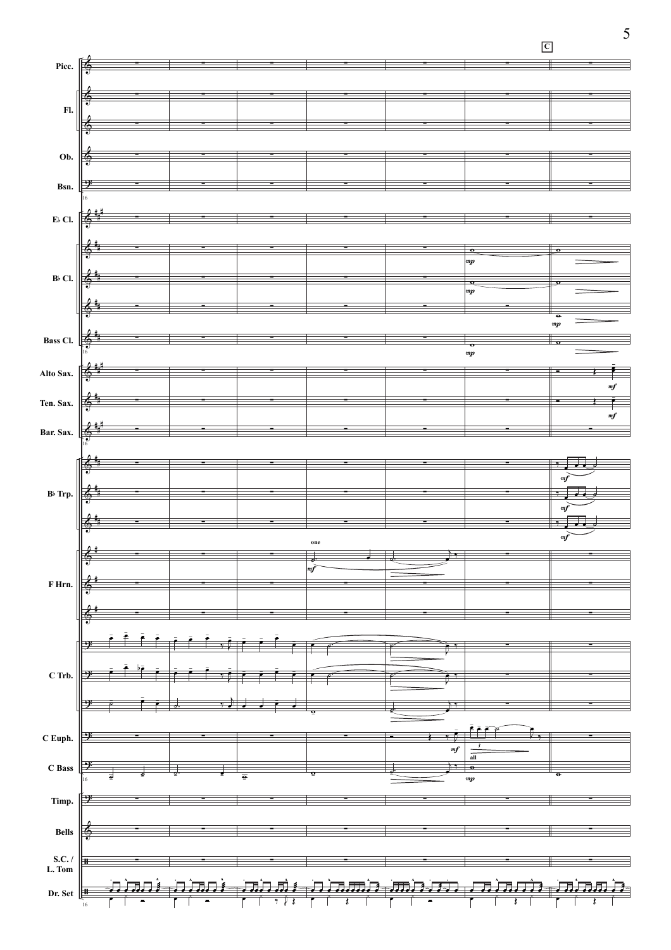∑ **C**

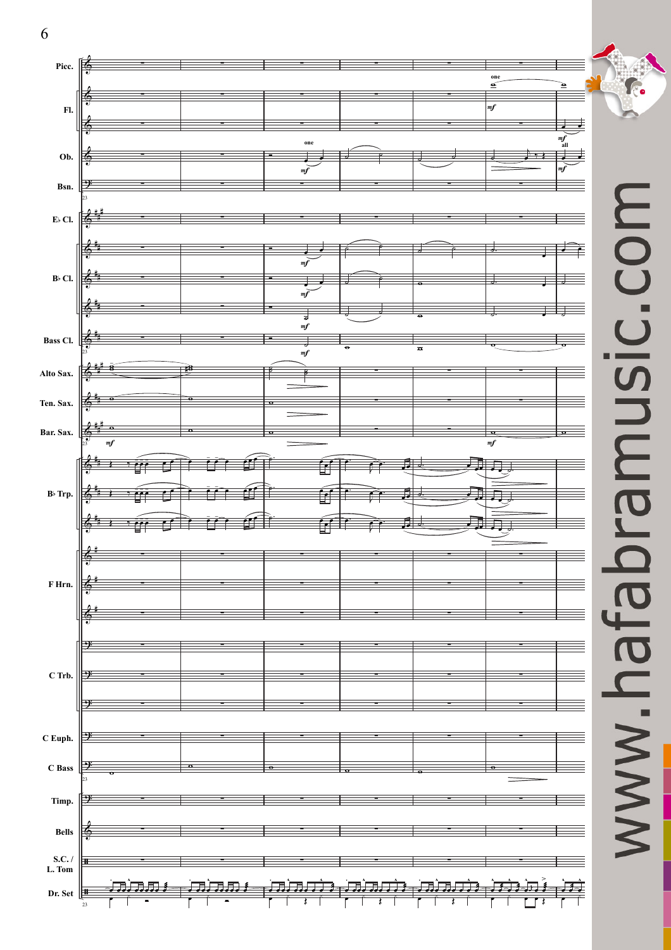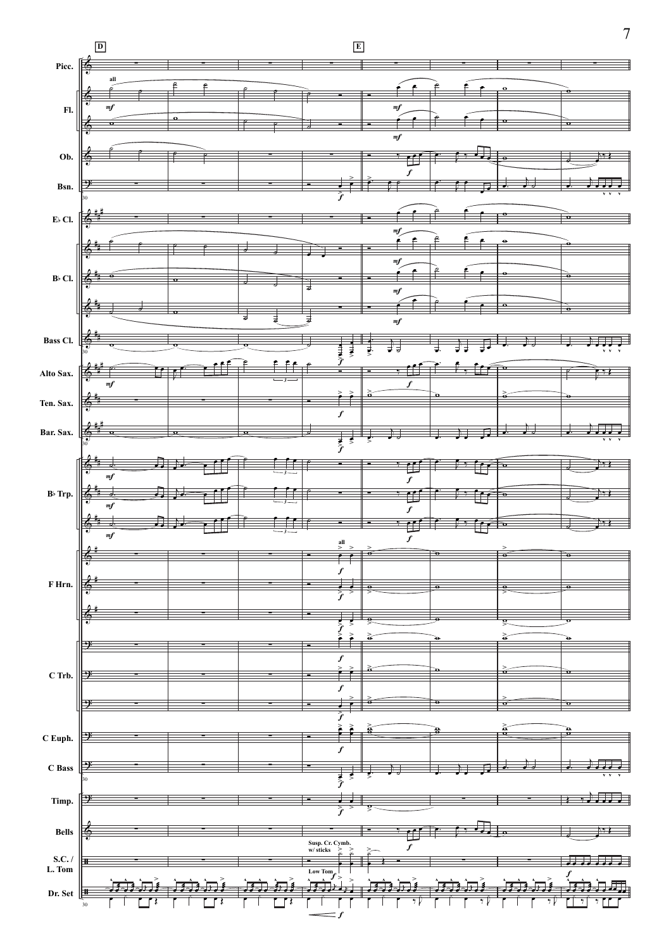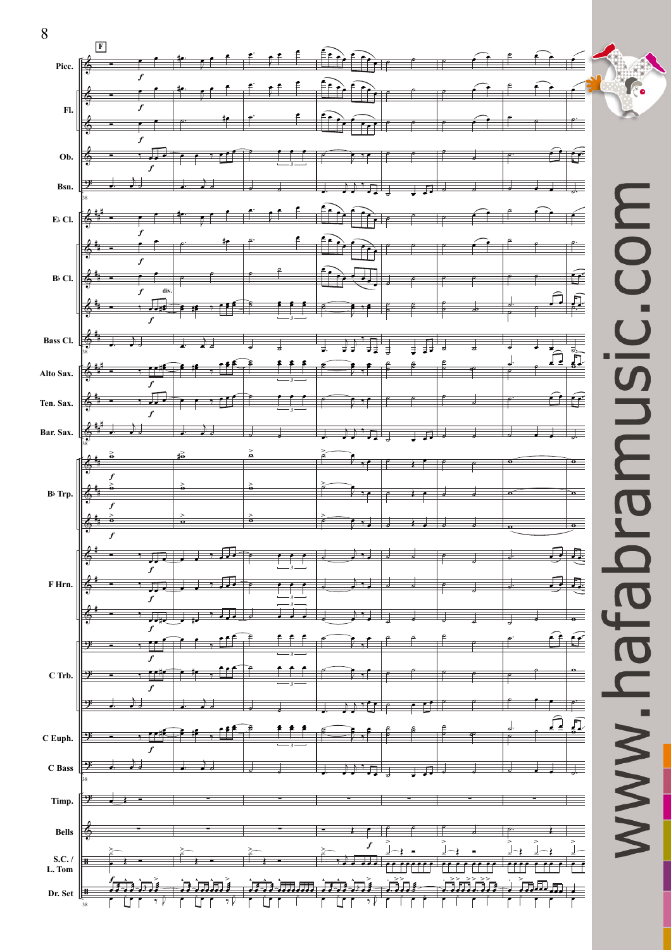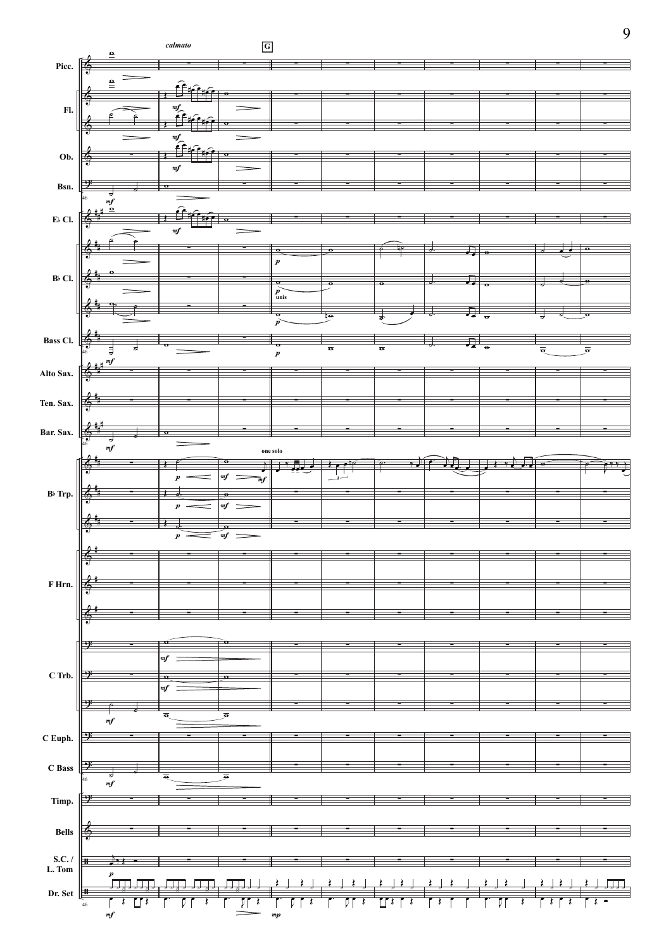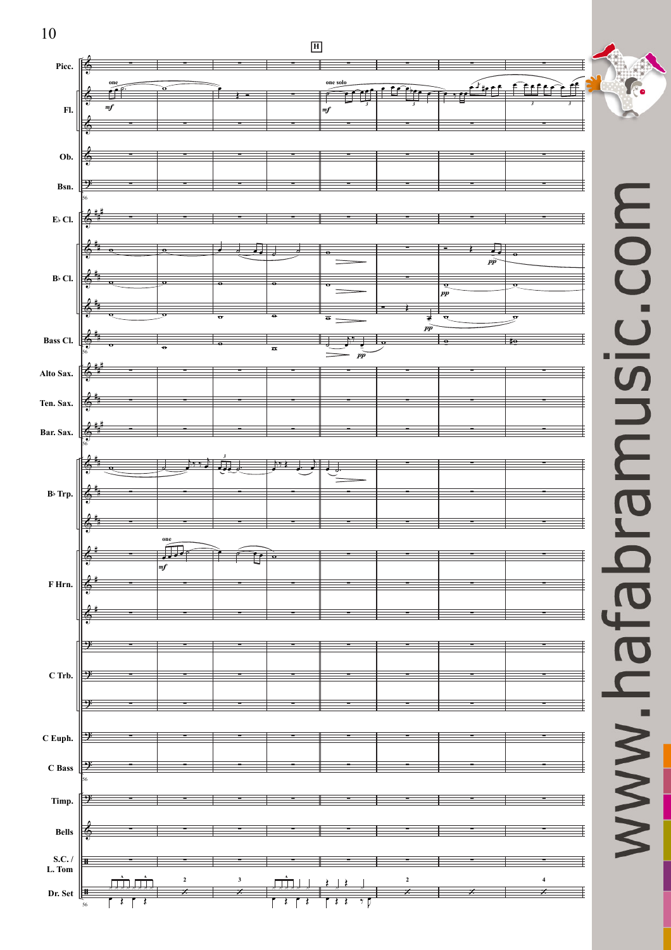

**NYW-T**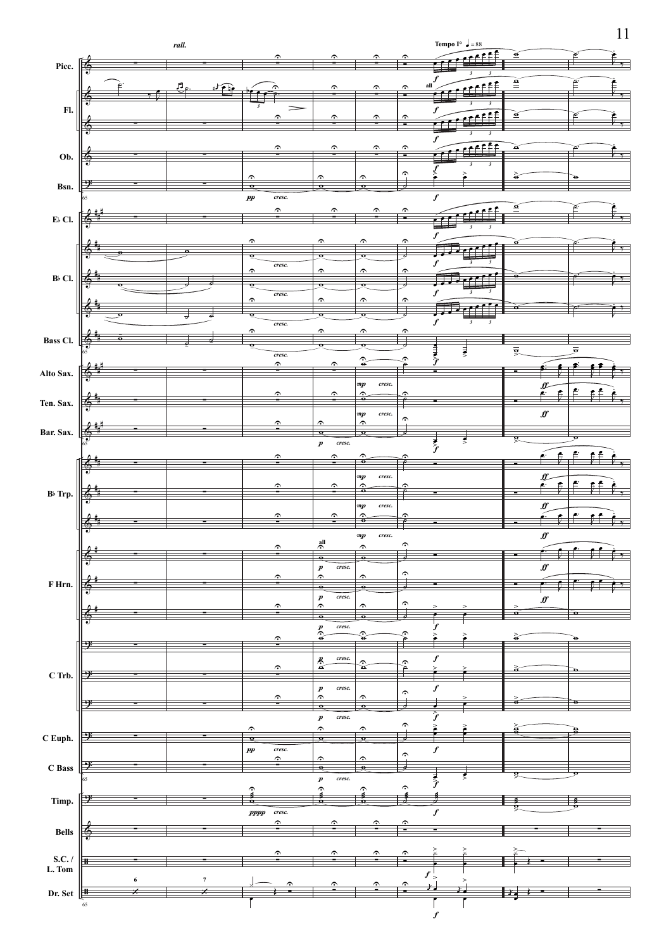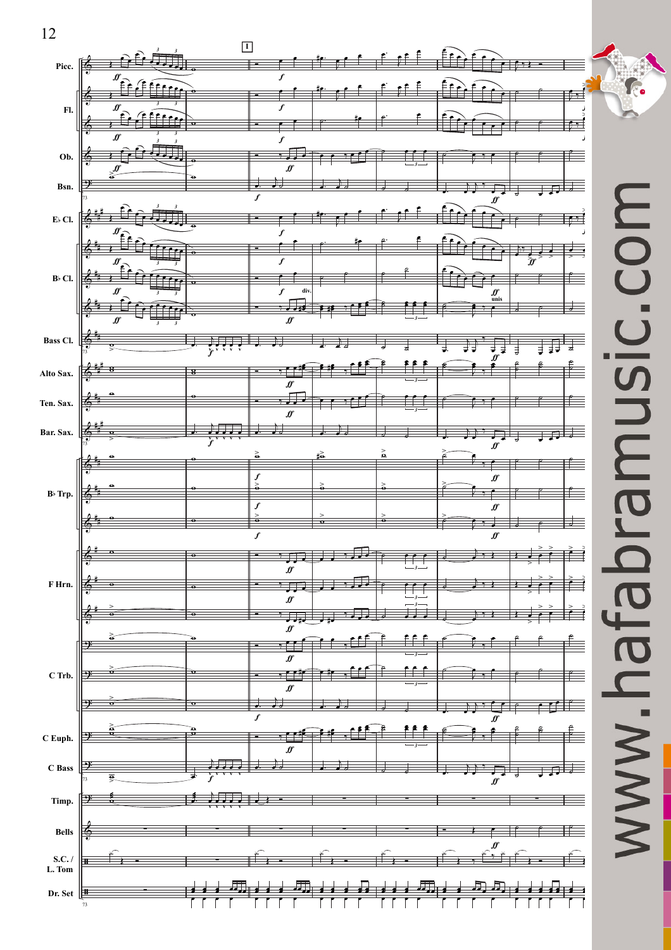